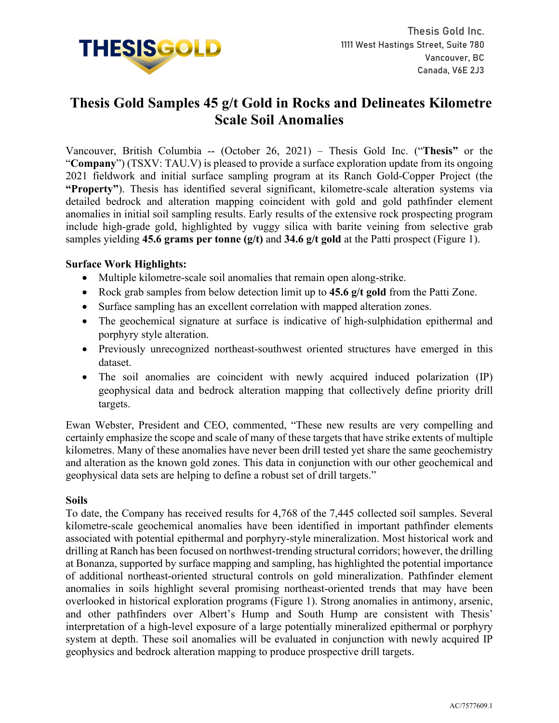

# **Thesis Gold Samples 45 g/t Gold in Rocks and Delineates Kilometre Scale Soil Anomalies**

Vancouver, British Columbia -- (October 26, 2021) – Thesis Gold Inc. ("**Thesis"** or the "**Company**") (TSXV: TAU.V) is pleased to provide a surface exploration update from its ongoing 2021 fieldwork and initial surface sampling program at its Ranch Gold-Copper Project (the **"Property"**). Thesis has identified several significant, kilometre-scale alteration systems via detailed bedrock and alteration mapping coincident with gold and gold pathfinder element anomalies in initial soil sampling results. Early results of the extensive rock prospecting program include high-grade gold, highlighted by vuggy silica with barite veining from selective grab samples yielding **45.6 grams per tonne (g/t)** and **34.6 g/t gold** at the Patti prospect (Figure 1).

# **Surface Work Highlights:**

- Multiple kilometre-scale soil anomalies that remain open along-strike.
- Rock grab samples from below detection limit up to **45.6 g/t gold** from the Patti Zone.
- Surface sampling has an excellent correlation with mapped alteration zones.
- The geochemical signature at surface is indicative of high-sulphidation epithermal and porphyry style alteration.
- Previously unrecognized northeast-southwest oriented structures have emerged in this dataset.
- The soil anomalies are coincident with newly acquired induced polarization (IP) geophysical data and bedrock alteration mapping that collectively define priority drill targets.

Ewan Webster, President and CEO, commented, "These new results are very compelling and certainly emphasize the scope and scale of many of these targets that have strike extents of multiple kilometres. Many of these anomalies have never been drill tested yet share the same geochemistry and alteration as the known gold zones. This data in conjunction with our other geochemical and geophysical data sets are helping to define a robust set of drill targets."

## **Soils**

To date, the Company has received results for 4,768 of the 7,445 collected soil samples. Several kilometre-scale geochemical anomalies have been identified in important pathfinder elements associated with potential epithermal and porphyry-style mineralization. Most historical work and drilling at Ranch has been focused on northwest-trending structural corridors; however, the drilling at Bonanza, supported by surface mapping and sampling, has highlighted the potential importance of additional northeast-oriented structural controls on gold mineralization. Pathfinder element anomalies in soils highlight several promising northeast-oriented trends that may have been overlooked in historical exploration programs (Figure 1). Strong anomalies in antimony, arsenic, and other pathfinders over Albert's Hump and South Hump are consistent with Thesis' interpretation of a high-level exposure of a large potentially mineralized epithermal or porphyry system at depth. These soil anomalies will be evaluated in conjunction with newly acquired IP geophysics and bedrock alteration mapping to produce prospective drill targets.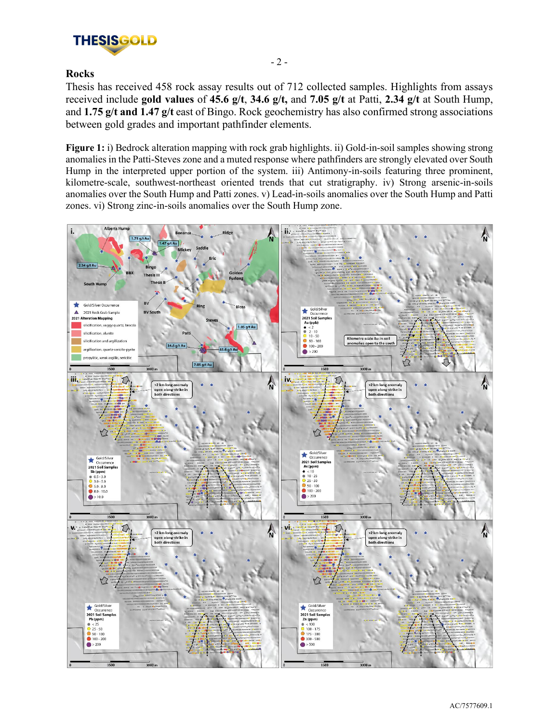

# **Rocks**

Thesis has received 458 rock assay results out of 712 collected samples. Highlights from assays received include **gold values** of **45.6 g/t**, **34.6 g/t,** and **7.05 g/t** at Patti, **2.34 g/t** at South Hump, and **1.75 g/t and 1.47 g/t** east of Bingo. Rock geochemistry has also confirmed strong associations between gold grades and important pathfinder elements.

**Figure 1:** i) Bedrock alteration mapping with rock grab highlights. ii) Gold-in-soil samples showing strong anomalies in the Patti-Steves zone and a muted response where pathfinders are strongly elevated over South Hump in the interpreted upper portion of the system. iii) Antimony-in-soils featuring three prominent, kilometre-scale, southwest-northeast oriented trends that cut stratigraphy. iv) Strong arsenic-in-soils anomalies over the South Hump and Patti zones. v) Lead-in-soils anomalies over the South Hump and Patti zones. vi) Strong zinc-in-soils anomalies over the South Hump zone.

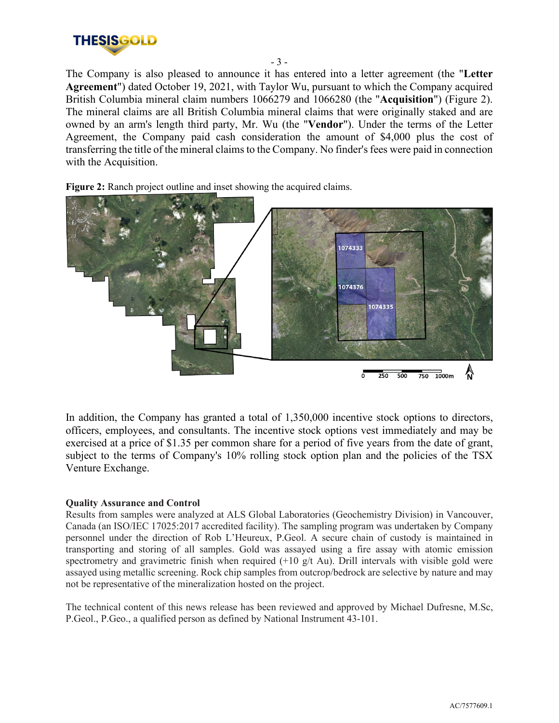

The Company is also pleased to announce it has entered into a letter agreement (the "**Letter Agreement**") dated October 19, 2021, with Taylor Wu, pursuant to which the Company acquired British Columbia mineral claim numbers 1066279 and 1066280 (the "**Acquisition**") (Figure 2). The mineral claims are all British Columbia mineral claims that were originally staked and are owned by an arm's length third party, Mr. Wu (the "**Vendor**"). Under the terms of the Letter Agreement, the Company paid cash consideration the amount of \$4,000 plus the cost of transferring the title of the mineral claims to the Company. No finder's fees were paid in connection with the Acquisition.

- 3 -

Figure 2: Ranch project outline and inset showing the acquired claims.



In addition, the Company has granted a total of 1,350,000 incentive stock options to directors, officers, employees, and consultants. The incentive stock options vest immediately and may be exercised at a price of \$1.35 per common share for a period of five years from the date of grant, subject to the terms of Company's 10% rolling stock option plan and the policies of the TSX Venture Exchange.

#### **Quality Assurance and Control**

Results from samples were analyzed at ALS Global Laboratories (Geochemistry Division) in Vancouver, Canada (an ISO/IEC 17025:2017 accredited facility). The sampling program was undertaken by Company personnel under the direction of Rob L'Heureux, P.Geol. A secure chain of custody is maintained in transporting and storing of all samples. Gold was assayed using a fire assay with atomic emission spectrometry and gravimetric finish when required  $(+10 \text{ g/t}$  Au). Drill intervals with visible gold were assayed using metallic screening. Rock chip samples from outcrop/bedrock are selective by nature and may not be representative of the mineralization hosted on the project.

The technical content of this news release has been reviewed and approved by Michael Dufresne, M.Sc, P.Geol., P.Geo., a qualified person as defined by National Instrument 43-101.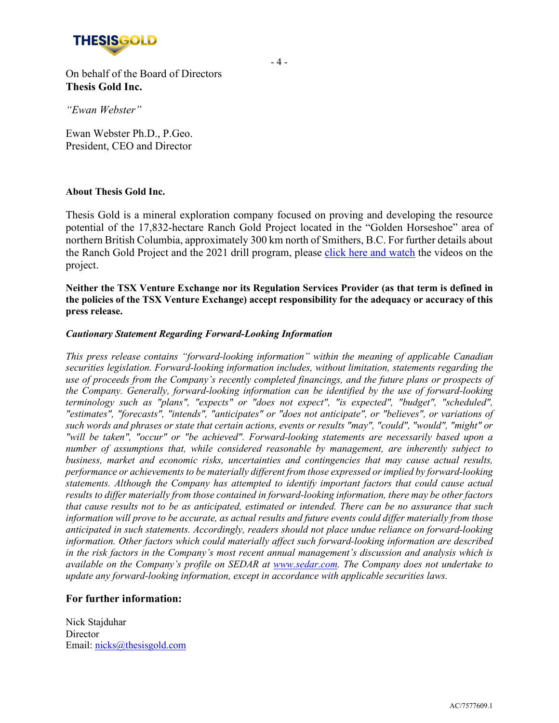

On behalf of the Board of Directors **Thesis Gold Inc.**

*"Ewan Webster"*

Ewan Webster Ph.D., P.Geo. President, CEO and Director

#### **About Thesis Gold Inc.**

Thesis Gold is a mineral exploration company focused on proving and developing the resource potential of the 17,832-hectare Ranch Gold Project located in the "Golden Horseshoe" area of northern British Columbia, approximately 300 km north of Smithers, B.C. For further details about the Ranch Gold Project and the 2021 drill program, please click here and watch the videos on the project.

**Neither the TSX Venture Exchange nor its Regulation Services Provider (as that term is defined in the policies of the TSX Venture Exchange) accept responsibility for the adequacy or accuracy of this press release.**

#### *Cautionary Statement Regarding Forward-Looking Information*

*This press release contains "forward-looking information" within the meaning of applicable Canadian securities legislation. Forward-looking information includes, without limitation, statements regarding the use of proceeds from the Company's recently completed financings, and the future plans or prospects of the Company. Generally, forward-looking information can be identified by the use of forward-looking terminology such as "plans", "expects" or "does not expect", "is expected", "budget", "scheduled", "estimates", "forecasts", "intends", "anticipates" or "does not anticipate", or "believes", or variations of such words and phrases or state that certain actions, events or results "may", "could", "would", "might" or "will be taken", "occur" or "be achieved". Forward-looking statements are necessarily based upon a number of assumptions that, while considered reasonable by management, are inherently subject to business, market and economic risks, uncertainties and contingencies that may cause actual results, performance or achievements to be materially different from those expressed or implied by forward-looking statements. Although the Company has attempted to identify important factors that could cause actual results to differ materially from those contained in forward-looking information, there may be other factors that cause results not to be as anticipated, estimated or intended. There can be no assurance that such information will prove to be accurate, as actual results and future events could differ materially from those anticipated in such statements. Accordingly, readers should not place undue reliance on forward-looking information. Other factors which could materially affect such forward-looking information are described in the risk factors in the Company's most recent annual management's discussion and analysis which is available on the Company's profile on SEDAR at www.sedar.com. The Company does not undertake to update any forward-looking information, except in accordance with applicable securities laws.*

## **For further information:**

Nick Stajduhar **Director** Email: [nicks@thesisgold.com](mailto:nicks@thesisgold.com)